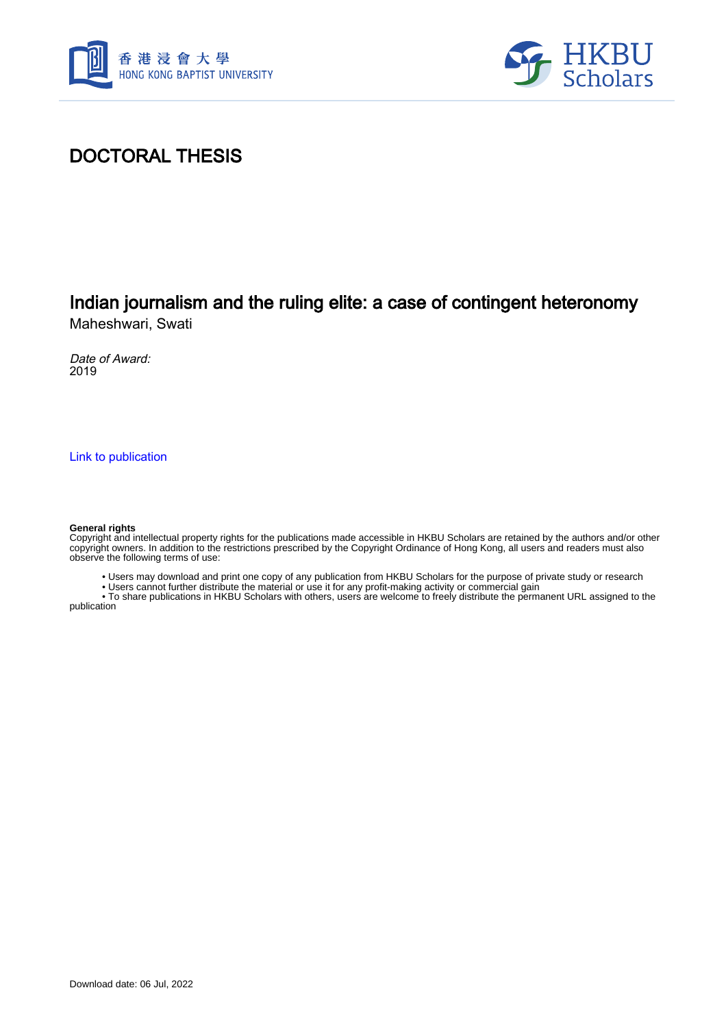



## DOCTORAL THESIS

# Indian journalism and the ruling elite: a case of contingent heteronomy

Maheshwari, Swati

Date of Award: 2019

[Link to publication](https://scholars.hkbu.edu.hk/en/studentTheses/a07fa26b-7d03-4ed6-82ee-da32640c0dc7)

#### **General rights**

Copyright and intellectual property rights for the publications made accessible in HKBU Scholars are retained by the authors and/or other copyright owners. In addition to the restrictions prescribed by the Copyright Ordinance of Hong Kong, all users and readers must also observe the following terms of use:

• Users may download and print one copy of any publication from HKBU Scholars for the purpose of private study or research

• Users cannot further distribute the material or use it for any profit-making activity or commercial gain

 • To share publications in HKBU Scholars with others, users are welcome to freely distribute the permanent URL assigned to the publication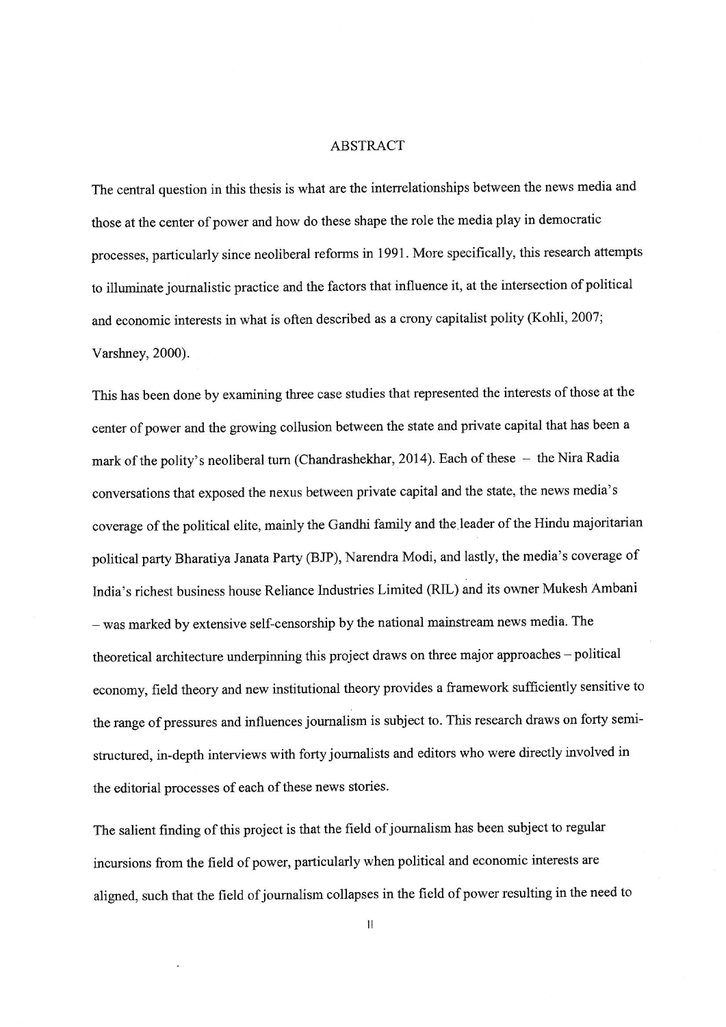#### **ABSTRACT**

The central question in this thesis is what are the interrelationships between the news media and those at the center of power and how do these shape the role the media play in democratic processes, particularly since neoliberal reforms in 1991. More specifically, this research attempts to illuminate journalistic practice and the factors that influence it, at the intersection of political and economic interests in what is often described as a crony capitalist polity (Kohli, 2007; Varshney, 2000).

This has been done by examining three case studies that represented the interests of those at the center of power and the growing collusion between the state and private capital that has been a mark of the polity's neoliberal turn (Chandrashekhar, 2014). Each of these - the Nira Radia conversations that exposed the nexus between private capital and the state, the news media's coverage of the political elite, mainly the Gandhi family and the leader of the Hindu majoritarian political party Bharatiya Janata Party (BJP), Narendra Modi, and lastly, the media's coverage of India's richest business house Reliance Industries Limited (RIL) and its owner Mukesh Ambani - was marked by extensive self-censorship by the national mainstream news media. The theoretical architecture underpinning this project draws on three major approaches - political economy, field theory and new institutional theory provides a framework sufficiently sensitive to the range of pressures and influences journalism is subject to. This research draws on forty semistructured, in-depth interviews with forty journalists and editors who were directly involved in the editorial processes of each of these news stories.

The salient finding of this project is that the field of journalism has been subject to regular incursions from the field of power, particularly when political and economic interests are aligned, such that the field of journalism collapses in the field of power resulting in the need to

 $\mathbf{I}$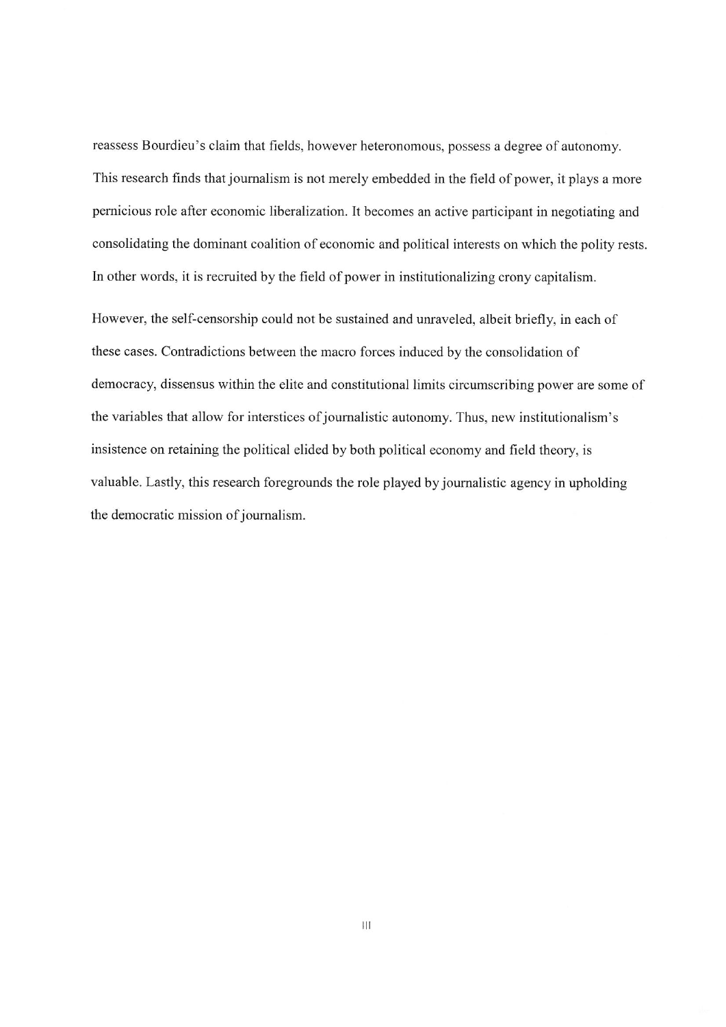reassess Bourdieu's claim that fields, however heteronomous, possess a degree of autonomy. This research finds that journalism is not merely embedded in the field of power, it plays a more pernicious role after economic liberalization. It becomes an active participant in negotiating and consolidating the dominant coalition of economic and political interests on which the polity rests. In other words, it is recruited by the field of power in institutionalizing crony capitalism.

However, the self-censorship could not be sustained and unraveled, albeit briefly, in each of these cases. Contradictions between the macro forces induced by the consolidation of democracy, dissensus within the elite and constitutional limits circumscribing power are some of the variables that allow for interstices of journalistic autonomy. Thus, new institutionalism's insistence on retaining the political elided by both political economy and field theory, is valuable. Lastly, this research foregrounds the role played by journalistic agency in upholding the democratic mission of journalism.